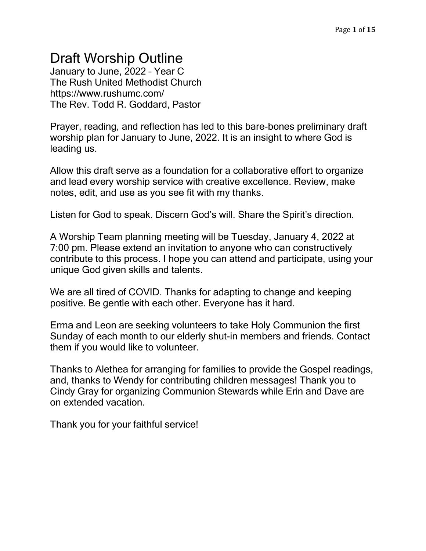# Draft Worship Outline

January to June, 2022 – Year C The Rush United Methodist Church https://www.rushumc.com/ The Rev. Todd R. Goddard, Pastor

Prayer, reading, and reflection has led to this bare-bones preliminary draft worship plan for January to June, 2022. It is an insight to where God is leading us.

Allow this draft serve as a foundation for a collaborative effort to organize and lead every worship service with creative excellence. Review, make notes, edit, and use as you see fit with my thanks.

Listen for God to speak. Discern God's will. Share the Spirit's direction.

A Worship Team planning meeting will be Tuesday, January 4, 2022 at 7:00 pm. Please extend an invitation to anyone who can constructively contribute to this process. I hope you can attend and participate, using your unique God given skills and talents.

We are all tired of COVID. Thanks for adapting to change and keeping positive. Be gentle with each other. Everyone has it hard.

Erma and Leon are seeking volunteers to take Holy Communion the first Sunday of each month to our elderly shut-in members and friends. Contact them if you would like to volunteer.

Thanks to Alethea for arranging for families to provide the Gospel readings, and, thanks to Wendy for contributing children messages! Thank you to Cindy Gray for organizing Communion Stewards while Erin and Dave are on extended vacation.

Thank you for your faithful service!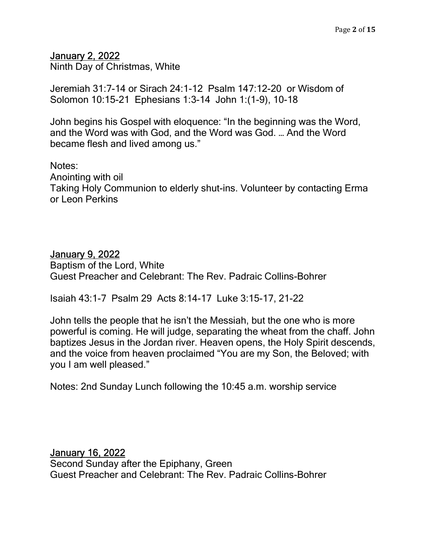#### January 2, 2022

Ninth Day of Christmas, White

Jeremiah 31:7-14 or Sirach 24:1-12 Psalm 147:12-20 or Wisdom of Solomon 10:15-21 Ephesians 1:3-14 John 1:(1-9), 10-18

John begins his Gospel with eloquence: "In the beginning was the Word, and the Word was with God, and the Word was God. … And the Word became flesh and lived among us."

Notes: Anointing with oil Taking Holy Communion to elderly shut-ins. Volunteer by contacting Erma or Leon Perkins

#### January 9, 2022

Baptism of the Lord, White Guest Preacher and Celebrant: The Rev. Padraic Collins-Bohrer

Isaiah 43:1-7 Psalm 29 Acts 8:14-17 Luke 3:15-17, 21-22

John tells the people that he isn't the Messiah, but the one who is more powerful is coming. He will judge, separating the wheat from the chaff. John baptizes Jesus in the Jordan river. Heaven opens, the Holy Spirit descends, and the voice from heaven proclaimed "You are my Son, the Beloved; with you I am well pleased."

Notes: 2nd Sunday Lunch following the 10:45 a.m. worship service

January 16, 2022 Second Sunday after the Epiphany, Green Guest Preacher and Celebrant: The Rev. Padraic Collins-Bohrer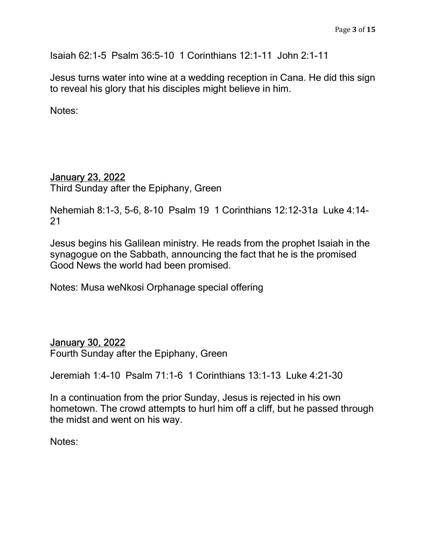Isaiah 62:1-5 Psalm 36:5-10 1 Corinthians 12:1-11 John 2:1-11

Jesus turns water into wine at a wedding reception in Cana. He did this sign to reveal his glory that his disciples might believe in him.

Notes:

### January 23, 2022

Third Sunday after the Epiphany, Green

Nehemiah 8:1-3, 5-6, 8-10 Psalm 19 1 Corinthians 12:12-31a Luke 4:14- 21

Jesus begins his Galilean ministry. He reads from the prophet Isaiah in the synagogue on the Sabbath, announcing the fact that he is the promised Good News the world had been promised.

Notes: Musa weNkosi Orphanage special offering

#### January 30, 2022

Fourth Sunday after the Epiphany, Green

Jeremiah 1:4-10 Psalm 71:1-6 1 Corinthians 13:1-13 Luke 4:21-30

In a continuation from the prior Sunday, Jesus is rejected in his own hometown. The crowd attempts to hurl him off a cliff, but he passed through the midst and went on his way.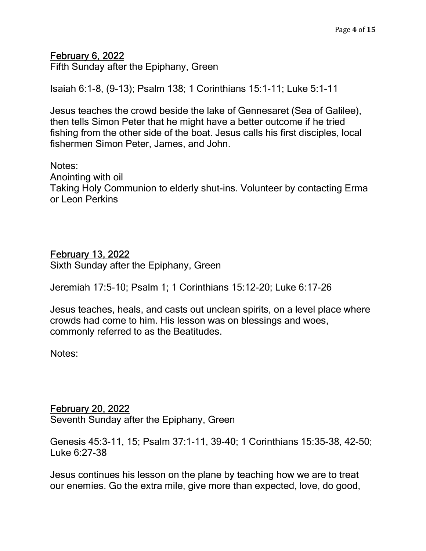#### February 6, 2022

Fifth Sunday after the Epiphany, Green

Isaiah 6:1-8, (9-13); Psalm 138; 1 Corinthians 15:1-11; Luke 5:1-11

Jesus teaches the crowd beside the lake of Gennesaret (Sea of Galilee), then tells Simon Peter that he might have a better outcome if he tried fishing from the other side of the boat. Jesus calls his first disciples, local fishermen Simon Peter, James, and John.

Notes: Anointing with oil Taking Holy Communion to elderly shut-ins. Volunteer by contacting Erma or Leon Perkins

#### February 13, 2022

Sixth Sunday after the Epiphany, Green

Jeremiah 17:5-10; Psalm 1; 1 Corinthians 15:12-20; Luke 6:17-26

Jesus teaches, heals, and casts out unclean spirits, on a level place where crowds had come to him. His lesson was on blessings and woes, commonly referred to as the Beatitudes.

Notes:

#### February 20, 2022

Seventh Sunday after the Epiphany, Green

Genesis 45:3-11, 15; Psalm 37:1-11, 39-40; 1 Corinthians 15:35-38, 42-50; Luke 6:27-38

Jesus continues his lesson on the plane by teaching how we are to treat our enemies. Go the extra mile, give more than expected, love, do good,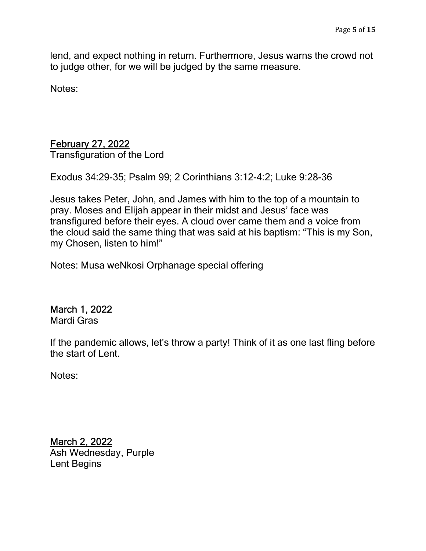lend, and expect nothing in return. Furthermore, Jesus warns the crowd not to judge other, for we will be judged by the same measure.

Notes:

## February 27, 2022

Transfiguration of the Lord

Exodus 34:29-35; Psalm 99; 2 Corinthians 3:12-4:2; Luke 9:28-36

Jesus takes Peter, John, and James with him to the top of a mountain to pray. Moses and Elijah appear in their midst and Jesus' face was transfigured before their eyes. A cloud over came them and a voice from the cloud said the same thing that was said at his baptism: "This is my Son, my Chosen, listen to him!"

Notes: Musa weNkosi Orphanage special offering

## March 1, 2022

Mardi Gras

If the pandemic allows, let's throw a party! Think of it as one last fling before the start of Lent.

Notes:

March 2, 2022 Ash Wednesday, Purple Lent Begins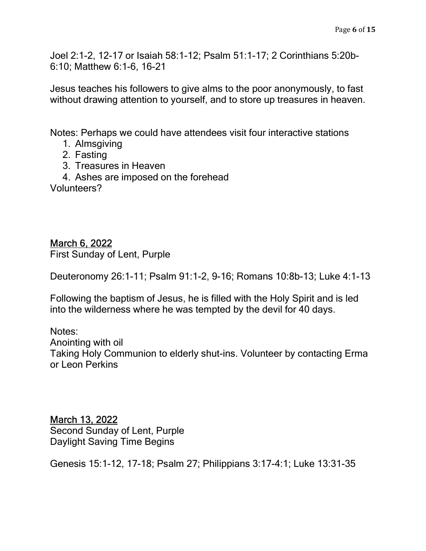Joel 2:1-2, 12-17 or Isaiah 58:1-12; Psalm 51:1-17; 2 Corinthians 5:20b-6:10; Matthew 6:1-6, 16-21

Jesus teaches his followers to give alms to the poor anonymously, to fast without drawing attention to yourself, and to store up treasures in heaven.

Notes: Perhaps we could have attendees visit four interactive stations

- 1. Almsgiving
- 2. Fasting
- 3. Treasures in Heaven
- 4. Ashes are imposed on the forehead

Volunteers?

March 6, 2022 First Sunday of Lent, Purple

Deuteronomy 26:1-11; Psalm 91:1-2, 9-16; Romans 10:8b-13; Luke 4:1-13

Following the baptism of Jesus, he is filled with the Holy Spirit and is led into the wilderness where he was tempted by the devil for 40 days.

Notes: Anointing with oil Taking Holy Communion to elderly shut-ins. Volunteer by contacting Erma or Leon Perkins

March 13, 2022 Second Sunday of Lent, Purple Daylight Saving Time Begins

Genesis 15:1-12, 17-18; Psalm 27; Philippians 3:17-4:1; Luke 13:31-35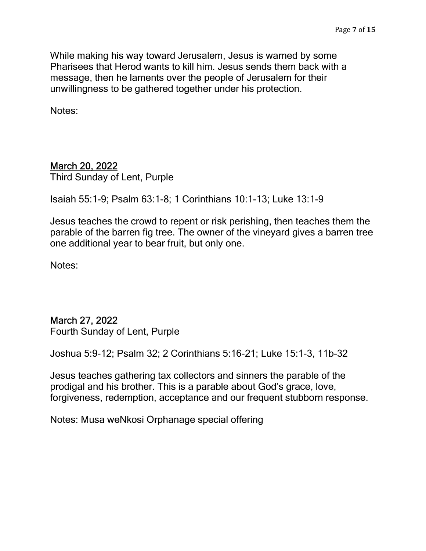While making his way toward Jerusalem, Jesus is warned by some Pharisees that Herod wants to kill him. Jesus sends them back with a message, then he laments over the people of Jerusalem for their unwillingness to be gathered together under his protection.

Notes:

### March 20, 2022

Third Sunday of Lent, Purple

Isaiah 55:1-9; Psalm 63:1-8; 1 Corinthians 10:1-13; Luke 13:1-9

Jesus teaches the crowd to repent or risk perishing, then teaches them the parable of the barren fig tree. The owner of the vineyard gives a barren tree one additional year to bear fruit, but only one.

Notes:

#### March 27, 2022

Fourth Sunday of Lent, Purple

Joshua 5:9-12; Psalm 32; 2 Corinthians 5:16-21; Luke 15:1-3, 11b-32

Jesus teaches gathering tax collectors and sinners the parable of the prodigal and his brother. This is a parable about God's grace, love, forgiveness, redemption, acceptance and our frequent stubborn response.

Notes: Musa weNkosi Orphanage special offering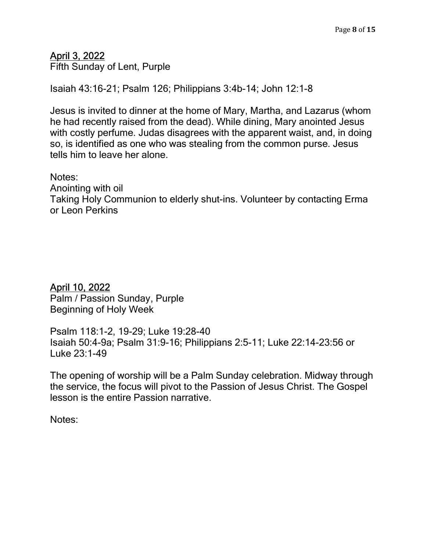## April 3, 2022

Fifth Sunday of Lent, Purple

Isaiah 43:16-21; Psalm 126; Philippians 3:4b-14; John 12:1-8

Jesus is invited to dinner at the home of Mary, Martha, and Lazarus (whom he had recently raised from the dead). While dining, Mary anointed Jesus with costly perfume. Judas disagrees with the apparent waist, and, in doing so, is identified as one who was stealing from the common purse. Jesus tells him to leave her alone.

Notes:

Anointing with oil

Taking Holy Communion to elderly shut-ins. Volunteer by contacting Erma or Leon Perkins

#### April 10, 2022

Palm / Passion Sunday, Purple Beginning of Holy Week

Psalm 118:1-2, 19-29; Luke 19:28-40 Isaiah 50:4-9a; Psalm 31:9-16; Philippians 2:5-11; Luke 22:14-23:56 or Luke 23:1-49

The opening of worship will be a Palm Sunday celebration. Midway through the service, the focus will pivot to the Passion of Jesus Christ. The Gospel lesson is the entire Passion narrative.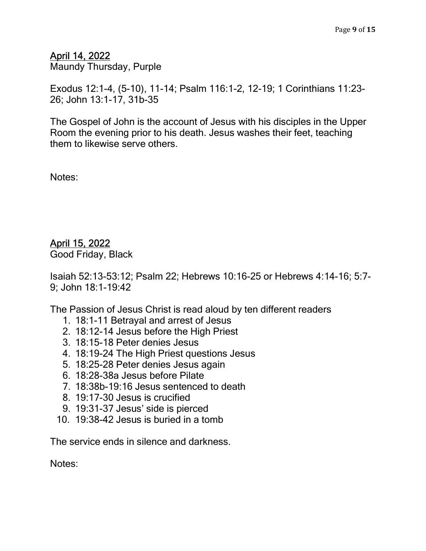April 14, 2022

Maundy Thursday, Purple

Exodus 12:1-4, (5-10), 11-14; Psalm 116:1-2, 12-19; 1 Corinthians 11:23- 26; John 13:1-17, 31b-35

The Gospel of John is the account of Jesus with his disciples in the Upper Room the evening prior to his death. Jesus washes their feet, teaching them to likewise serve others.

Notes:

## April 15, 2022

Good Friday, Black

Isaiah 52:13-53:12; Psalm 22; Hebrews 10:16-25 or Hebrews 4:14-16; 5:7- 9; John 18:1-19:42

The Passion of Jesus Christ is read aloud by ten different readers

- 1. 18:1-11 Betrayal and arrest of Jesus
- 2. 18:12-14 Jesus before the High Priest
- 3. 18:15-18 Peter denies Jesus
- 4. 18:19-24 The High Priest questions Jesus
- 5. 18:25-28 Peter denies Jesus again
- 6. 18:28-38a Jesus before Pilate
- 7. 18:38b-19:16 Jesus sentenced to death
- 8. 19:17-30 Jesus is crucified
- 9. 19:31-37 Jesus' side is pierced
- 10. 19:38-42 Jesus is buried in a tomb

The service ends in silence and darkness.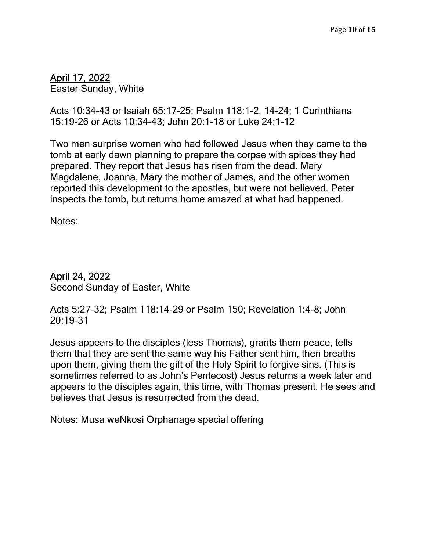## April 17, 2022

Easter Sunday, White

Acts 10:34-43 or Isaiah 65:17-25; Psalm 118:1-2, 14-24; 1 Corinthians 15:19-26 or Acts 10:34-43; John 20:1-18 or Luke 24:1-12

Two men surprise women who had followed Jesus when they came to the tomb at early dawn planning to prepare the corpse with spices they had prepared. They report that Jesus has risen from the dead. Mary Magdalene, Joanna, Mary the mother of James, and the other women reported this development to the apostles, but were not believed. Peter inspects the tomb, but returns home amazed at what had happened.

Notes:

#### April 24, 2022

Second Sunday of Easter, White

Acts 5:27-32; Psalm 118:14-29 or Psalm 150; Revelation 1:4-8; John 20:19-31

Jesus appears to the disciples (less Thomas), grants them peace, tells them that they are sent the same way his Father sent him, then breaths upon them, giving them the gift of the Holy Spirit to forgive sins. (This is sometimes referred to as John's Pentecost) Jesus returns a week later and appears to the disciples again, this time, with Thomas present. He sees and believes that Jesus is resurrected from the dead.

Notes: Musa weNkosi Orphanage special offering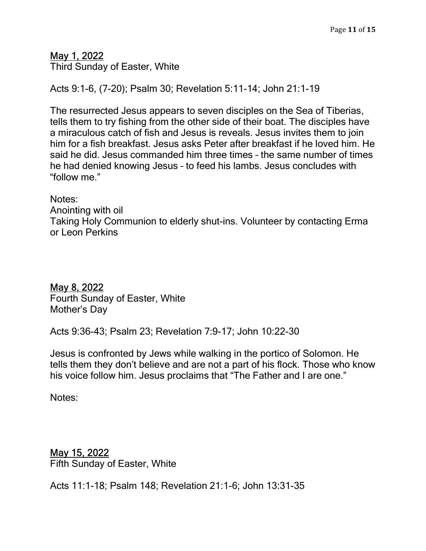## May 1, 2022

Third Sunday of Easter, White

Acts 9:1-6, (7-20); Psalm 30; Revelation 5:11-14; John 21:1-19

The resurrected Jesus appears to seven disciples on the Sea of Tiberias, tells them to try fishing from the other side of their boat. The disciples have a miraculous catch of fish and Jesus is reveals. Jesus invites them to join him for a fish breakfast. Jesus asks Peter after breakfast if he loved him. He said he did. Jesus commanded him three times – the same number of times he had denied knowing Jesus – to feed his lambs. Jesus concludes with "follow me."

Notes:

Anointing with oil

Taking Holy Communion to elderly shut-ins. Volunteer by contacting Erma or Leon Perkins

May 8, 2022 Fourth Sunday of Easter, White Mother's Day

Acts 9:36-43; Psalm 23; Revelation 7:9-17; John 10:22-30

Jesus is confronted by Jews while walking in the portico of Solomon. He tells them they don't believe and are not a part of his flock. Those who know his voice follow him. Jesus proclaims that "The Father and I are one."

Notes:

#### May 15, 2022 Fifth Sunday of Easter, White

Acts 11:1-18; Psalm 148; Revelation 21:1-6; John 13:31-35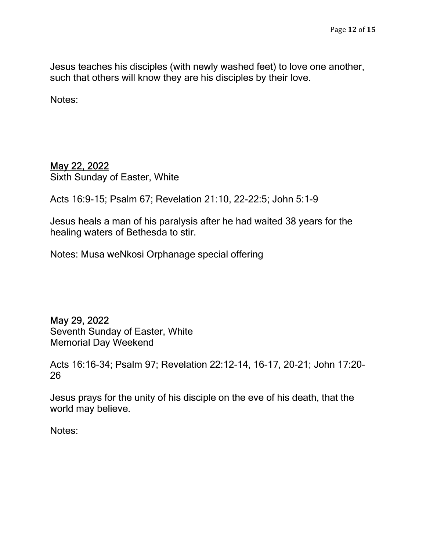Jesus teaches his disciples (with newly washed feet) to love one another, such that others will know they are his disciples by their love.

Notes:

### May 22, 2022

Sixth Sunday of Easter, White

Acts 16:9-15; Psalm 67; Revelation 21:10, 22-22:5; John 5:1-9

Jesus heals a man of his paralysis after he had waited 38 years for the healing waters of Bethesda to stir.

Notes: Musa weNkosi Orphanage special offering

May 29, 2022

Seventh Sunday of Easter, White Memorial Day Weekend

Acts 16:16-34; Psalm 97; Revelation 22:12-14, 16-17, 20-21; John 17:20- 26

Jesus prays for the unity of his disciple on the eve of his death, that the world may believe.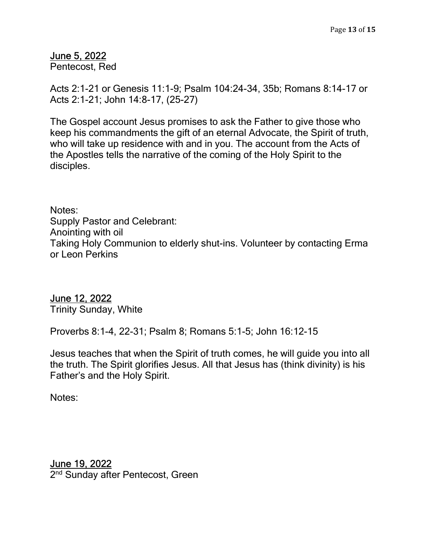#### June 5, 2022

Pentecost, Red

Acts 2:1-21 or Genesis 11:1-9; Psalm 104:24-34, 35b; Romans 8:14-17 or Acts 2:1-21; John 14:8-17, (25-27)

The Gospel account Jesus promises to ask the Father to give those who keep his commandments the gift of an eternal Advocate, the Spirit of truth, who will take up residence with and in you. The account from the Acts of the Apostles tells the narrative of the coming of the Holy Spirit to the disciples.

Notes: Supply Pastor and Celebrant: Anointing with oil Taking Holy Communion to elderly shut-ins. Volunteer by contacting Erma or Leon Perkins

#### June 12, 2022

Trinity Sunday, White

Proverbs 8:1-4, 22-31; Psalm 8; Romans 5:1-5; John 16:12-15

Jesus teaches that when the Spirit of truth comes, he will guide you into all the truth. The Spirit glorifies Jesus. All that Jesus has (think divinity) is his Father's and the Holy Spirit.

Notes:

## June 19, 2022

2<sup>nd</sup> Sunday after Pentecost, Green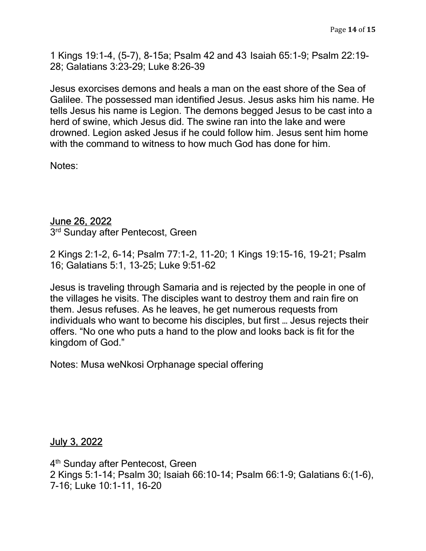1 Kings 19:1-4, (5-7), 8-15a; Psalm 42 and 43 Isaiah 65:1-9; Psalm 22:19- 28; Galatians 3:23-29; Luke 8:26-39

Jesus exorcises demons and heals a man on the east shore of the Sea of Galilee. The possessed man identified Jesus. Jesus asks him his name. He tells Jesus his name is Legion. The demons begged Jesus to be cast into a herd of swine, which Jesus did. The swine ran into the lake and were drowned. Legion asked Jesus if he could follow him. Jesus sent him home with the command to witness to how much God has done for him.

Notes:

#### June 26, 2022

3<sup>rd</sup> Sunday after Pentecost, Green

2 Kings 2:1-2, 6-14; Psalm 77:1-2, 11-20; 1 Kings 19:15-16, 19-21; Psalm 16; Galatians 5:1, 13-25; Luke 9:51-62

Jesus is traveling through Samaria and is rejected by the people in one of the villages he visits. The disciples want to destroy them and rain fire on them. Jesus refuses. As he leaves, he get numerous requests from individuals who want to become his disciples, but first … Jesus rejects their offers. "No one who puts a hand to the plow and looks back is fit for the kingdom of God."

Notes: Musa weNkosi Orphanage special offering

July 3, 2022

4<sup>th</sup> Sunday after Pentecost, Green 2 Kings 5:1-14; Psalm 30; Isaiah 66:10-14; Psalm 66:1-9; Galatians 6:(1-6), 7-16; Luke 10:1-11, 16-20